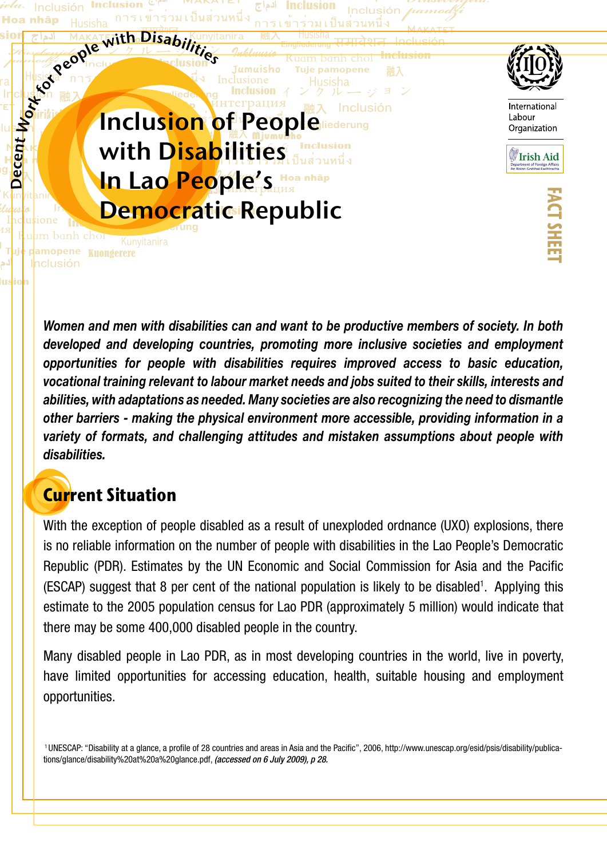

*Women and men with disabilities can and want to be productive members of society. In both developed and developing countries, promoting more inclusive societies and employment opportunities for people with disabilities requires improved access to basic education, vocational training relevant to labour market needs and jobs suited to their skills, interests and abilities, with adaptations as needed. Many societies are also recognizing the need to dismantle other barriers - making the physical environment more accessible, providing information in a variety of formats, and challenging attitudes and mistaken assumptions about people with disabilities.* 

### **Current Situation**

With the exception of people disabled as a result of unexploded ordnance (UXO) explosions, there is no reliable information on the number of people with disabilities in the Lao People's Democratic Republic (PDR). Estimates by the UN Economic and Social Commission for Asia and the Pacific (ESCAP) suggest that 8 per cent of the national population is likely to be disabled<sup>1</sup>. Applying this estimate to the 2005 population census for Lao PDR (approximately 5 million) would indicate that there may be some 400,000 disabled people in the country.

Many disabled people in Lao PDR, as in most developing countries in the world, live in poverty, have limited opportunities for accessing education, health, suitable housing and employment opportunities.

 1 UNESCAP: "Disability at a glance, a profile of 28 countries and areas in Asia and the Pacific", 2006, http://www.unescap.org/esid/psis/disability/publications/glance/disability%20at%20a%20glance.pdf, *(accessed on 6 July 2009), p 28.*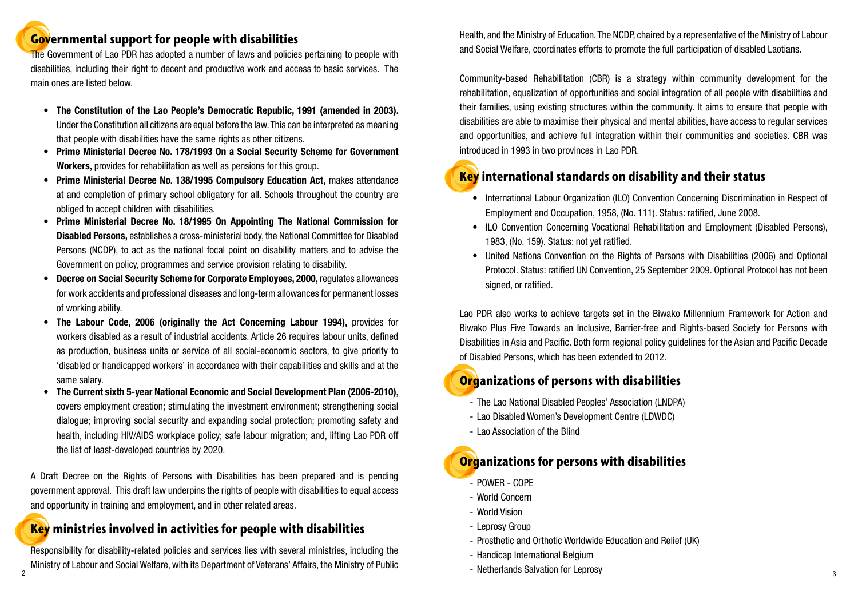## **Governmental support for people with disabilities**

The Government of Lao PDR has adopted a number of laws and policies pertaining to people with disabilities, including their right to decent and productive work and access to basic services. The main ones are listed below.

- The Constitution of the Lao People's Democratic Republic, 1991 (amended in 2003). Under the Constitution all citizens are equal before the law. This can be interpreted as meaning that people with disabilities have the same rights as other citizens.
- **Prime Ministerial Decree No. 178/1993 On a Social Security Scheme for Government Workers,** provides for rehabilitation as well as pensions for this group.
- **Prime Ministerial Decree No. 138/1995 Compulsory Education Act.** makes attendance at and completion of primary school obligatory for all. Schools throughout the country are obliged to accept children with disabilities.
- **Prime Ministerial Decree No. 18/1995 On Appointing The National Commission for Disabled Persons,** establishes a cross-ministerial body, the National Committee for Disabled Persons (NCDP), to act as the national focal point on disability matters and to advise the Government on policy, programmes and service provision relating to disability.
- **Decree on Social Security Scheme for Corporate Employees, 2000, regulates allowances** for work accidents and professional diseases and long-term allowances for permanent losses of working ability.
- **The Labour Code, 2006 (originally the Act Concerning Labour 1994), provides for** workers disabled as a result of industrial accidents. Article 26 requires labour units, defined as production, business units or service of all social-economic sectors, to give priority to 'disabled or handicapped workers' in accordance with their capabilities and skills and at the same salary.
- **The Current sixth 5-year National Economic and Social Development Plan (2006-2010),** covers employment creation; stimulating the investment environment; strengthening social dialogue; improving social security and expanding social protection; promoting safety and health, including HIV/AIDS workplace policy; safe labour migration; and, lifting Lao PDR off the list of least-developed countries by 2020.

• United Nations Convention on the Rights of Persons with Disabilities (2006) and Optional Protocol. Status: ratified UN Convention, 25 September 2009. Optional Protocol has not been

A Draft Decree on the Rights of Persons with Disabilities has been prepared and is pending government approval. This draft law underpins the rights of people with disabilities to equal access and opportunity in training and employment, and in other related areas.

#### **Key ministries involved in activities for people with disabilities**

Responsibility for disability-related policies and services lies with several ministries, including the Ministry of Labour and Social Welfare, with its Department of Veterans' Affairs, the Ministry of Public Health, and the Ministry of Education. The NCDP, chaired by a representative of the Ministry of Labour and Social Welfare, coordinates efforts to promote the full participation of disabled Laotians.

Community-based Rehabilitation (CBR) is a strategy within community development for the rehabilitation, equalization of opportunities and social integration of all people with disabilities and their families, using existing structures within the community. It aims to ensure that people with disabilities are able to maximise their physical and mental abilities, have access to regular services and opportunities, and achieve full integration within their communities and societies. CBR was introduced in 1993 in two provinces in Lao PDR.

## **Key international standards on disability and their status**

- Employment and Occupation, 1958, (No. 111). Status: ratified, June 2008.
- 1983, (No. 159). Status: not yet ratified.
- signed, or ratified.

Lao PDR also works to achieve targets set in the Biwako Millennium Framework for Action and Biwako Plus Five Towards an Inclusive, Barrier-free and Rights-based Society for Persons with Disabilities in Asia and Pacific. Both form regional policy guidelines for the Asian and Pacific Decade of Disabled Persons, which has been extended to 2012.

## **Organizations of persons with disabilities**

- The Lao National Disabled Peoples' Association (LNDPA)
- Lao Disabled Women's Development Centre (LDWDC)
- Lao Association of the Blind

## **Organizations for persons with disabilities**

- POWER COPE
- World Concern
- World Vision
- Leprosy Group
- Prosthetic and Orthotic Worldwide Education and Relief (UK)
- Handicap International Belgium
- $\sim$  2  $\sim$  3  $\sim$  3  $\sim$  3  $\sim$  3  $\sim$  3  $\sim$  3  $\sim$  3  $\sim$  3  $\sim$  3  $\sim$  3  $\sim$  3  $\sim$  3  $\sim$  3  $\sim$  3  $\sim$  3  $\sim$  3  $\sim$  3  $\sim$  3  $\sim$  3  $\sim$  3  $\sim$  3  $\sim$  3  $\sim$  3  $\sim$  3  $\sim$  3  $\sim$  3  $\sim$  3  $\sim$  3  $\sim$   $\sim$   $\sim$   $\sim$ - Netherlands Salvation for Leprosy

• International Labour Organization (ILO) Convention Concerning Discrimination in Respect of

• ILO Convention Concerning Vocational Rehabilitation and Employment (Disabled Persons),